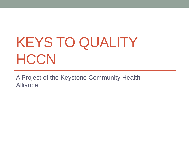# KEYS TO QUALITY **HCCN**

A Project of the Keystone Community Health Alliance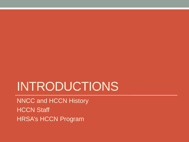## INTRODUCTIONS

NNCC and HCCN History **HCCN Staff** HRSA's HCCN Program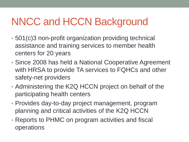## NNCC and HCCN Background

- 501(c)3 non-profit organization providing technical assistance and training services to member health centers for 20 years
- Since 2008 has held a National Cooperative Agreement with HRSA to provide TA services to FQHCs and other safety-net providers
- Administering the K2Q HCCN project on behalf of the participating health centers
- Provides day-to-day project management, program planning and critical activities of the K2Q HCCN
- Reports to PHMC on program activities and fiscal operations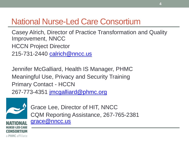### National Nurse-Led Care Consortium

Casey Alrich, Director of Practice Transformation and Quality Improvement, NNCC HCCN Project Director 215-731-2440 [calrich@nncc.us](mailto:calrich@nncc.us)

Jennifer McGalliard, Health IS Manager, PHMC Meaningful Use, Privacy and Security Training Primary Contact - HCCN 267-773-4351 [jmcgalliard@phmc.org](mailto:jmcgalliard@phmc.org)



Grace Lee, Director of HIT, NNCC CQM Reporting Assistance, 267-765-2381 [grace@nncc.us](mailto:glee@nncc.us)

a PHMC affiliate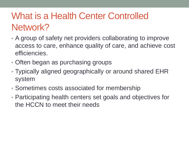### What is a Health Center Controlled Network?

- A group of safety net providers collaborating to improve access to care, enhance quality of care, and achieve cost efficiencies.
- Often began as purchasing groups
- Typically aligned geographically or around shared EHR system
- Sometimes costs associated for membership
- Participating health centers set goals and objectives for the HCCN to meet their needs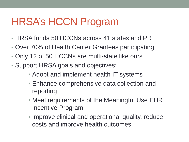## HRSA's HCCN Program

- HRSA funds 50 HCCNs across 41 states and PR
- Over 70% of Health Center Grantees participating
- Only 12 of 50 HCCNs are multi-state like ours
- Support HRSA goals and objectives:
	- Adopt and implement health IT systems
	- Enhance comprehensive data collection and reporting
	- Meet requirements of the Meaningful Use EHR Incentive Program
	- Improve clinical and operational quality, reduce costs and improve health outcomes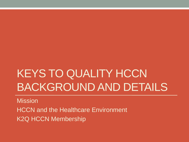## KEYS TO QUALITY HCCN BACKGROUND AND DETAILS

**Mission** HCCN and the Healthcare Environment K2Q HCCN Membership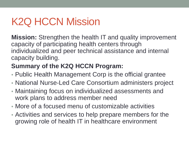## K2Q HCCN Mission

**Mission:** Strengthen the health IT and quality improvement capacity of participating health centers through individualized and peer technical assistance and internal capacity building.

### **Summary of the K2Q HCCN Program:**

- Public Health Management Corp is the official grantee
- National Nurse-Led Care Consortium administers project
- Maintaining focus on individualized assessments and work plans to address member need
- More of a focused menu of customizable activities
- Activities and services to help prepare members for the growing role of health IT in healthcare environment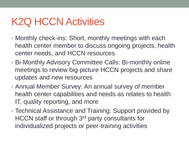- Monthly check-ins: Short, monthly meetings with each health center member to discuss ongoing projects, health center needs, and HCCN resources
- Bi-Monthly Advisory Committee Calls: Bi-monthly online meetings to review big-picture HCCN projects and share updates and new resources
- Annual Member Survey: An annual survey of member health center capabilities and needs as relates to health IT, quality reporting, and more
- Technical Assistance and Training: Support provided by HCCN staff or through 3rd party consultants for individualized projects or peer-training activities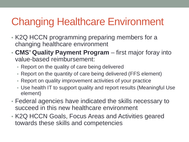## Changing Healthcare Environment

- K2Q HCCN programming preparing members for a changing healthcare environment
- **CMS' Quality Payment Program**  first major foray into value-based reimbursement:
	- Report on the quality of care being delivered
	- Report on the quantity of care being delivered (FFS element)
	- Report on quality improvement activities of your practice
	- Use health IT to support quality and report results (Meaningful Use element)
- Federal agencies have indicated the skills necessary to succeed in this new healthcare environment
- K2Q HCCN Goals, Focus Areas and Activities geared towards these skills and competencies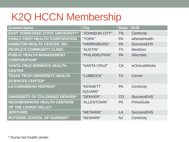## K2Q HCCN Membership

| <b>Grantee Name</b>                     | <b>City</b>    | <b>State</b> | <b>EHR</b>        |
|-----------------------------------------|----------------|--------------|-------------------|
| <b>EAST TENNESSEE STATE UNIVERSITY*</b> | "JOHNSON CITY" | <b>TN</b>    | Centricity        |
| <b>FAMILY FIRST HEALTH CORPORATION</b>  | "YORK"         | <b>PA</b>    | athenaHealth      |
| <b>HAMILTON HEALTH CENTER, INC.</b>     | "HARRISBURG"   | <b>PA</b>    | <b>SuccessEHS</b> |
| PEOPLE'S COMMUNITY CLINIC               | "AUSTIN"       | <b>TX</b>    | <b>NextGen</b>    |
| PUBLIC HEALTH MANAGEMENT                | "PHILADELPHIA" | PA           | <b>Allscripts</b> |
| <b>CORPORATION*</b>                     |                |              |                   |
| <b>SANTA CRUZ WOMEN'S HEALTH</b>        | "SANTA CRUZ"   | <b>CA</b>    | eClinicalWorks    |
| <b>CENTER</b>                           |                |              |                   |
| <b>TEXAS TECH UNIVERSITY HEALTH</b>     | "LUBBOCK"      | <b>TX</b>    | Cerner            |
| <b>SCIENCES CENTER*</b>                 |                |              |                   |
| <b>LA COMUNIDAD HISPANA*</b>            | "KENNETT       | <b>PA</b>    | Centricity        |
|                                         | <b>SQUARE"</b> |              |                   |
| <b>UNIVERSITY OF COLORADO DENVER*</b>   | "DENVER"       | CO           | <b>SuccessEHS</b> |
| <b>NEIGHBORHOOD HEALTH CENTERS</b>      | "ALLENTOWN"    | <b>PA</b>    | <b>PrimeSuite</b> |
| OF THE LEHIGH VALLEY                    |                |              |                   |
| <b>JEFFCARE</b>                         | "METAIRIE"     | LA           | <b>SuccessEHS</b> |
| <b>RUTGERS SCHOOL OF NURSING*</b>       | "NEWARK"       | <b>NJ</b>    | Centricity        |

\* Nurse led health center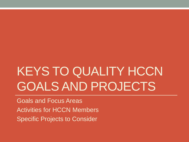## KEYS TO QUALITY HCCN GOALS AND PROJECTS

Goals and Focus Areas Activities for HCCN Members Specific Projects to Consider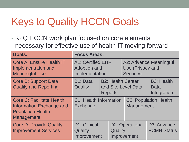## Keys to Quality HCCN Goals

• K2Q HCCN work plan focused on core elements necessary for effective use of health IT moving forward

| <b>Goals:</b>                                                                                                 | <b>Focus Areas:</b>                                               |                                            |                                                         |                                          |
|---------------------------------------------------------------------------------------------------------------|-------------------------------------------------------------------|--------------------------------------------|---------------------------------------------------------|------------------------------------------|
| Core A: Ensure Health IT<br>Implementation and<br><b>Meaningful Use</b>                                       | <b>A1: Certified EHR</b><br><b>Adoption and</b><br>Implementation |                                            | A2: Advance Meaningful<br>Use (Privacy and<br>Security) |                                          |
| <b>Core B: Support Data</b><br><b>Quality and Reporting</b>                                                   | B1: Data<br>Quality                                               | <b>B2: Health Center</b><br><b>Reports</b> | and Site Level Data                                     | <b>B3: Health</b><br>Data<br>Integration |
| <b>Core C: Facilitate Health</b><br>Information Exchange and<br><b>Population Health</b><br><b>Management</b> | C1: Health Information<br><b>Exchange</b>                         |                                            | <b>C2: Population Health</b><br>Management              |                                          |
| <b>Core D: Provide Quality</b><br><b>Improvement Services</b>                                                 | <b>D1: Clinical</b><br>Quality<br>Improvement                     | Quality                                    | <b>D2: Operational</b><br>Improvement                   | D3: Advance<br><b>PCMH Status</b>        |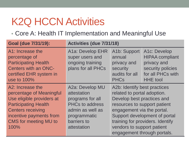• Core A: Health IT Implementation and Meaningful Use

| <b>Goal (due 7/31/19):</b>                                                                                                                                                                              | Activities (due 7/31/18)                                                                                                                       |                                                                                                                                                                                                                                                                                           |                                                                                                                    |
|---------------------------------------------------------------------------------------------------------------------------------------------------------------------------------------------------------|------------------------------------------------------------------------------------------------------------------------------------------------|-------------------------------------------------------------------------------------------------------------------------------------------------------------------------------------------------------------------------------------------------------------------------------------------|--------------------------------------------------------------------------------------------------------------------|
| A1: Increase the<br>percentage of<br><b>Participating Health</b><br><b>Centers with an ONC-</b><br>certified EHR system in<br>use to 100%                                                               | A1a: Develop EHR<br>super users and<br>ongoing training<br>plans for all PHCs                                                                  | A1b: Support<br>annual<br>privacy and<br>security<br>audits for all<br><b>PHCs</b>                                                                                                                                                                                                        | A1c: Develop<br><b>HIPAA</b> compliant<br>privacy and<br>security policies<br>for all PHCs with<br><b>HHE</b> tool |
| A2: Increase the<br>percentage of Meaningful<br>Use eligible providers at<br><b>Participating Health</b><br><b>Centers receiving</b><br>incentive payments from<br><b>CMS</b> for meeting MU to<br>100% | A2a: Develop MU<br>attestation<br>programs for all<br><b>PHCs to address</b><br>admin as well as<br>programmatic<br>barriers to<br>attestation | A2b: Identify best practices<br>related to portal adoption.<br>Develop best practices and<br>resources to support patient<br>engagement via the portal.<br>Support development of portal<br>training for providers. Identify<br>vendors to support patient<br>engagement through portals. |                                                                                                                    |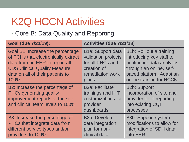• Core B: Data Quality and Reporting

| <b>Goal (due 7/31/19):</b>                                                                                                              | Activities (due 7/31/18)                                                                     |                                                                                                                |  |
|-----------------------------------------------------------------------------------------------------------------------------------------|----------------------------------------------------------------------------------------------|----------------------------------------------------------------------------------------------------------------|--|
| Goal B1: Increase the percentage                                                                                                        | <b>B1a: Support data</b>                                                                     | <b>B1b: Roll out a training</b>                                                                                |  |
| of PCHs that electronically extract                                                                                                     | validation projects                                                                          | introducing key staff to                                                                                       |  |
| data from an EHR to report all                                                                                                          | for all PHCs and                                                                             | healthcare data analytics                                                                                      |  |
| <b>UDS Clinical Quality Measure</b>                                                                                                     | creation of                                                                                  | through an online, self-                                                                                       |  |
| data on all of their patients to                                                                                                        | remediation work                                                                             | paced platform. Adapt an                                                                                       |  |
| 100%                                                                                                                                    | plans                                                                                        | online training for HCCN.                                                                                      |  |
| B2: Increase the percentage of<br><b>PHCs generating quality</b><br>improvement reports at the site<br>and clinical team levels to 100% | <b>B2a: Facilitate</b><br>trainings and HIT<br>customizations for<br>provider<br>dashboards. | <b>B2b: Support</b><br>incorporation of site and<br>provider level reporting<br>into existing CQI<br>processes |  |
| B3: Increase the percentage of                                                                                                          | <b>B3a: Develop</b>                                                                          | <b>B3b: Support system</b>                                                                                     |  |
| PHCs that integrate data from                                                                                                           | data integration                                                                             | modifications to allow for                                                                                     |  |
| different service types and/or                                                                                                          | plan for non-                                                                                | integration of SDH data                                                                                        |  |
| providers to 100%                                                                                                                       | clinical data                                                                                | into EHR                                                                                                       |  |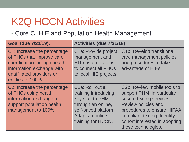• Core C: HIE and Population Health Management

| <b>Goal (due 7/31/19):</b>                                                                                                                                            | Activities (due 7/31/18)                                                                                                                                        |                                                                                                                                                                                                                                                       |  |
|-----------------------------------------------------------------------------------------------------------------------------------------------------------------------|-----------------------------------------------------------------------------------------------------------------------------------------------------------------|-------------------------------------------------------------------------------------------------------------------------------------------------------------------------------------------------------------------------------------------------------|--|
| C1: Increase the percentage<br>of PHCs that improve care<br>coordination through health<br>information exchange with<br>unaffiliated providers or<br>entities to 100% | C1a: Provide project<br>management and<br><b>HIT customizations</b><br>to connect all PHCs<br>to local HIE projects                                             | C1b: Develop transitional<br>care management policies<br>and procedures to take<br>advantage of HIEs                                                                                                                                                  |  |
| C2: Increase the percentage<br>of PHCs using health<br>information exchange to<br>support population health<br>management to 100%.                                    | C <sub>2</sub> a: Roll out a<br>training introducing<br>key staff to PHM<br>through an online,<br>self-paced platform.<br>Adapt an online<br>training for HCCN. | C <sub>2</sub> b: Review mobile tools to<br>support PHM, in particular<br>secure texting services.<br><b>Review policies and</b><br>procedures to ensure HIPAA<br>compliant texting. Identify<br>cohort interested in adopting<br>these technologies. |  |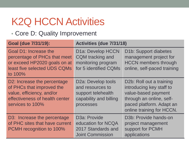#### • Core D: Quality Improvement

| <b>Goal (due 7/31/19):</b>                                                                                                                  | Activities (due 7/31/18)                                                                                         |                                                                                                                                                                  |  |
|---------------------------------------------------------------------------------------------------------------------------------------------|------------------------------------------------------------------------------------------------------------------|------------------------------------------------------------------------------------------------------------------------------------------------------------------|--|
| <b>Goal D1: Increase the</b><br>percentage of PHCs that meet<br>or exceed HP2020 goals on at<br>least five selected UDS CQMs<br>to 100%     | D1a: Develop HCCN<br><b>CQM</b> tracking and<br>monitoring program<br>for 5 identified CQMs                      | D <sub>1</sub> b: Support diabetes<br>management project for<br><b>HCCN</b> members through<br>online, self-paced training                                       |  |
| D2: Increase the percentage<br>of PHCs that improved the<br>value, efficiency, and/or<br>effectiveness of health center<br>services to 100% | D <sub>2</sub> a: Develop tools<br>and resources to<br>support telehealth<br>capability and billing<br>processes | D2b: Roll out a training<br>introducing key staff to<br>value-based payment<br>through an online, self-<br>paced platform. Adapt an<br>online training for HCCN. |  |
| D3: Increase the percentage<br>of PHC sites that have current<br><b>PCMH</b> recognition to 100%                                            | D <sub>3a</sub> : Provide<br>education for NCQA<br>2017 Standards and<br><b>Joint Commission</b>                 | D3b: Provide hands-on<br>project management<br>support for PCMH<br>applications                                                                                  |  |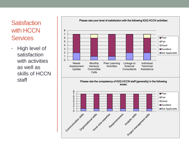#### **Satisfaction** with HCCN **Services**

• High level of satisfaction with activities as well as skills of HCCN staff

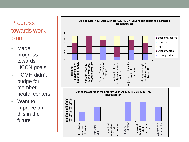#### **Progress** towards work plan

- Made progress towards HCCN goals
- PCMH didn't budge for member health centers
- Want to improve on this in the future